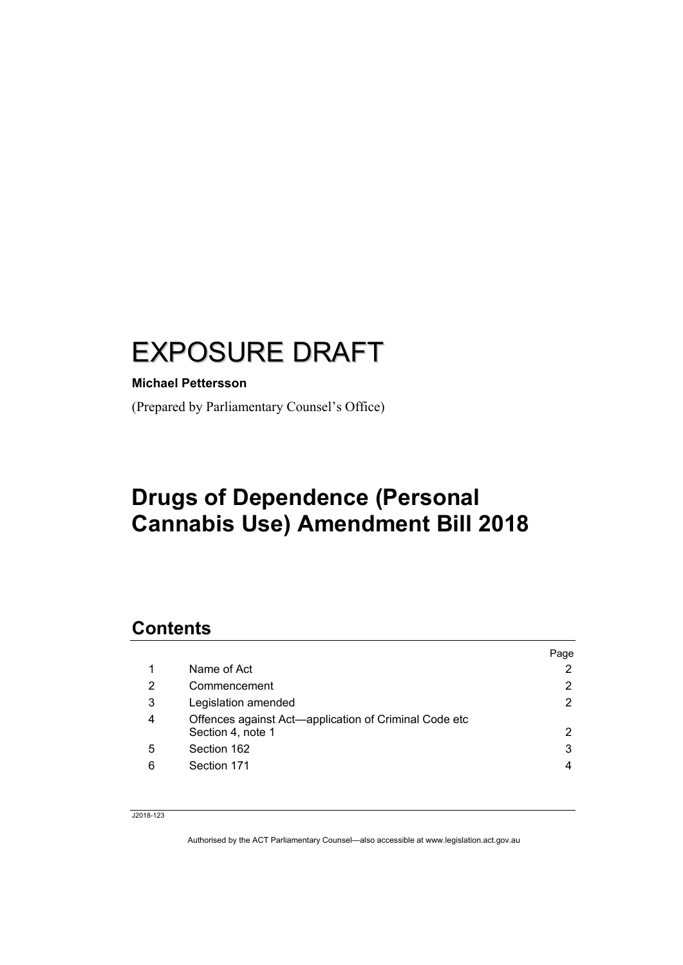# EXPOSURE DRAFT

#### **Michael Pettersson**

(Prepared by Parliamentary Counsel's Office)

# **Drugs of Dependence (Personal Cannabis Use) Amendment Bill 2018**

# **Contents**

|   |                                                                            | Page                  |
|---|----------------------------------------------------------------------------|-----------------------|
|   | Name of Act                                                                | 2                     |
| 2 | Commencement                                                               | 2                     |
| 3 | Legislation amended                                                        | $\mathbf{2}^{\prime}$ |
| 4 | Offences against Act—application of Criminal Code etc<br>Section 4, note 1 | 2                     |
| 5 | Section 162                                                                | 3                     |
| 6 | Section 171                                                                | 4                     |
|   |                                                                            |                       |

J2018-123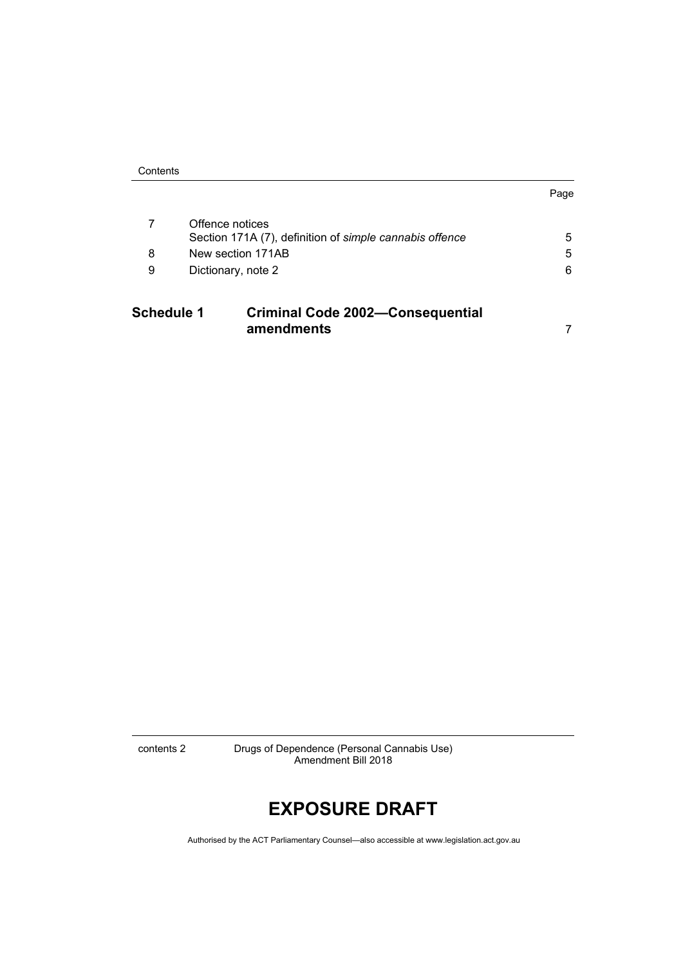| Contents |
|----------|
|----------|

| <br>×<br>۰. |
|-------------|
|-------------|

| <b>Schedule 1</b> |                    | <b>Criminal Code 2002-Consequential</b><br>amendments                      |   |
|-------------------|--------------------|----------------------------------------------------------------------------|---|
| 9                 | Dictionary, note 2 |                                                                            | 6 |
| 8                 |                    | New section 171AB                                                          | 5 |
|                   |                    | Offence notices<br>Section 171A (7), definition of simple cannabis offence | 5 |
|                   |                    |                                                                            |   |

contents 2 Drugs of Dependence (Personal Cannabis Use) Amendment Bill 2018

# **EXPOSURE DRAFT**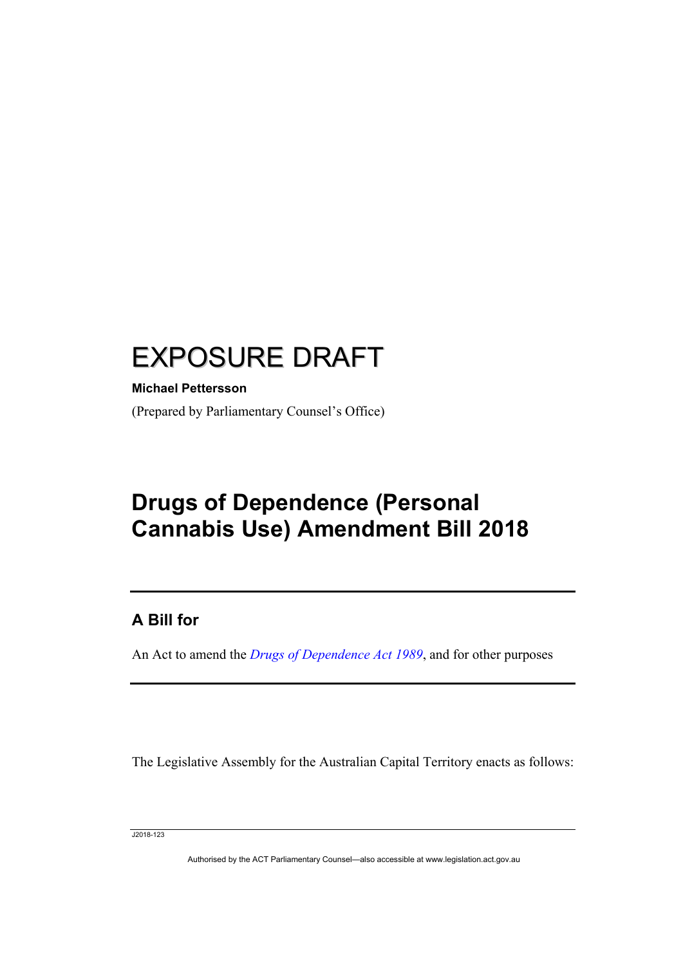# EXPOSURE DRAFT

#### **Michael Pettersson**

(Prepared by Parliamentary Counsel's Office)

# **Drugs of Dependence (Personal Cannabis Use) Amendment Bill 2018**

### **A Bill for**

An Act to amend the *[Drugs of Dependence Act 1989](http://www.legislation.act.gov.au/a/alt_a1989-11co)*, and for other purposes

The Legislative Assembly for the Australian Capital Territory enacts as follows:

J2018-123

I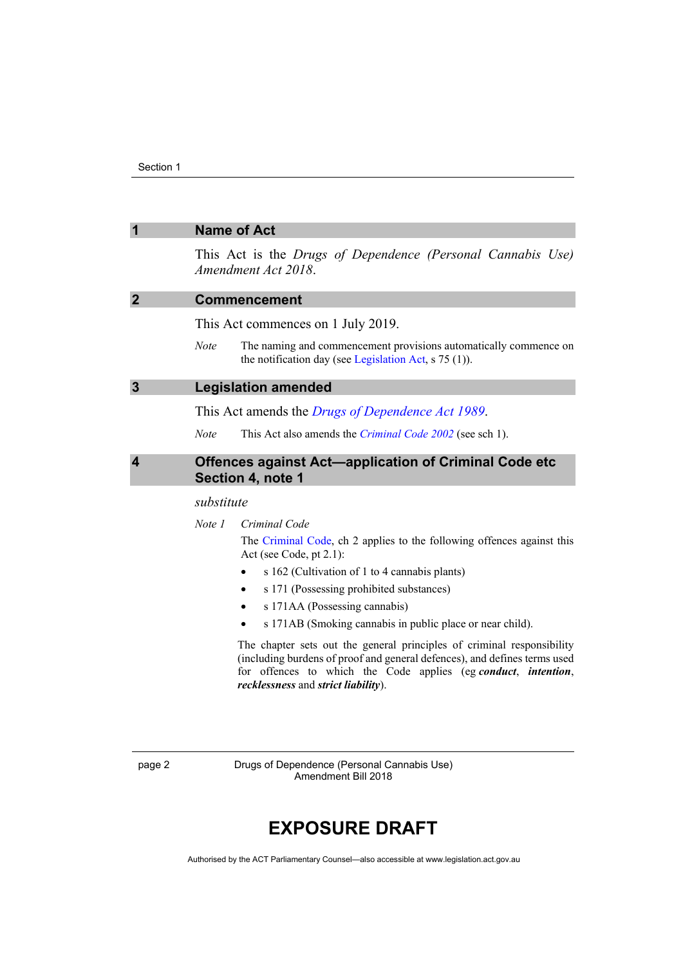<span id="page-3-3"></span><span id="page-3-2"></span><span id="page-3-1"></span><span id="page-3-0"></span>

| $\overline{\mathbf{1}}$ | <b>Name of Act</b>                                                                                                                                  |  |  |
|-------------------------|-----------------------------------------------------------------------------------------------------------------------------------------------------|--|--|
|                         | This Act is the Drugs of Dependence (Personal Cannabis Use)<br>Amendment Act 2018.                                                                  |  |  |
| $\overline{2}$          | <b>Commencement</b>                                                                                                                                 |  |  |
|                         | This Act commences on 1 July 2019.                                                                                                                  |  |  |
|                         | The naming and commencement provisions automatically commence on<br><b>Note</b><br>the notification day (see Legislation Act, s 75 (1)).            |  |  |
| $\overline{\mathbf{3}}$ | <b>Legislation amended</b><br>This Act amends the <i>Drugs of Dependence Act 1989</i> .                                                             |  |  |
|                         |                                                                                                                                                     |  |  |
|                         | <b>Note</b><br>This Act also amends the <i>Criminal Code 2002</i> (see sch 1).                                                                      |  |  |
| $\overline{\mathbf{4}}$ | Offences against Act-application of Criminal Code etc<br>Section 4, note 1                                                                          |  |  |
|                         | substitute                                                                                                                                          |  |  |
|                         | Note 1<br>Criminal Code                                                                                                                             |  |  |
|                         | The Criminal Code, ch 2 applies to the following offences against this<br>Act (see Code, pt 2.1):                                                   |  |  |
|                         | s 162 (Cultivation of 1 to 4 cannabis plants)                                                                                                       |  |  |
|                         | s 171 (Possessing prohibited substances)                                                                                                            |  |  |
|                         | s 171AA (Possessing cannabis)                                                                                                                       |  |  |
|                         | s 171AB (Smoking cannabis in public place or near child).                                                                                           |  |  |
|                         | The chapter sets out the general principles of criminal responsibility<br>(including burdens of proof and general defences), and defines terms used |  |  |

*recklessness* and *strict liability*).

for offences to which the Code applies (eg *conduct*, *intention*,

page 2 Drugs of Dependence (Personal Cannabis Use) Amendment Bill 2018

# **EXPOSURE DRAFT**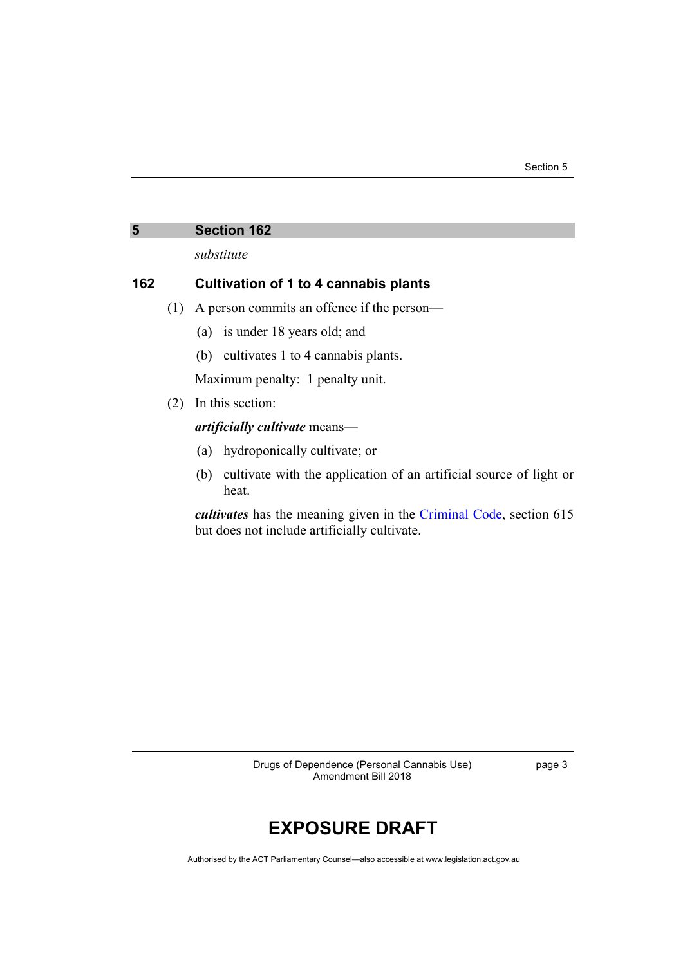#### <span id="page-4-0"></span>**5 Section 162**

*substitute*

#### **162 Cultivation of 1 to 4 cannabis plants**

- (1) A person commits an offence if the person—
	- (a) is under 18 years old; and
	- (b) cultivates 1 to 4 cannabis plants.

Maximum penalty: 1 penalty unit.

(2) In this section:

*artificially cultivate* means—

- (a) hydroponically cultivate; or
- (b) cultivate with the application of an artificial source of light or heat.

*cultivates* has the meaning given in the [Criminal Code,](http://www.legislation.act.gov.au/a/2002-51) section 615 but does not include artificially cultivate.

> Drugs of Dependence (Personal Cannabis Use) Amendment Bill 2018

page 3

# **EXPOSURE DRAFT**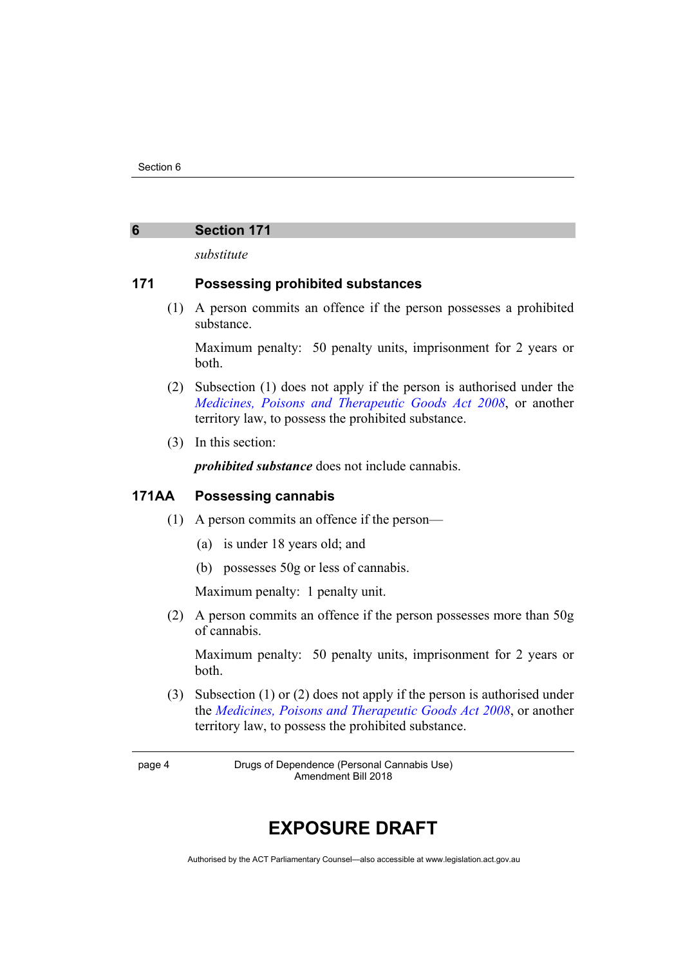#### <span id="page-5-0"></span>**6 Section 171**

*substitute*

#### **171 Possessing prohibited substances**

(1) A person commits an offence if the person possesses a prohibited substance.

Maximum penalty: 50 penalty units, imprisonment for 2 years or both.

- (2) Subsection (1) does not apply if the person is authorised under the *[Medicines, Poisons and Therapeutic Goods Act 2008](http://www.legislation.act.gov.au/a/2008-26)*, or another territory law, to possess the prohibited substance.
- (3) In this section:

*prohibited substance* does not include cannabis.

#### **171AA Possessing cannabis**

- (1) A person commits an offence if the person—
	- (a) is under 18 years old; and
	- (b) possesses 50g or less of cannabis.

Maximum penalty: 1 penalty unit.

(2) A person commits an offence if the person possesses more than 50g of cannabis.

Maximum penalty: 50 penalty units, imprisonment for 2 years or both.

(3) Subsection (1) or (2) does not apply if the person is authorised under the *[Medicines, Poisons and Therapeutic Goods Act 2008](http://www.legislation.act.gov.au/a/2008-26)*, or another territory law, to possess the prohibited substance.

page 4 Drugs of Dependence (Personal Cannabis Use) Amendment Bill 2018

# **EXPOSURE DRAFT**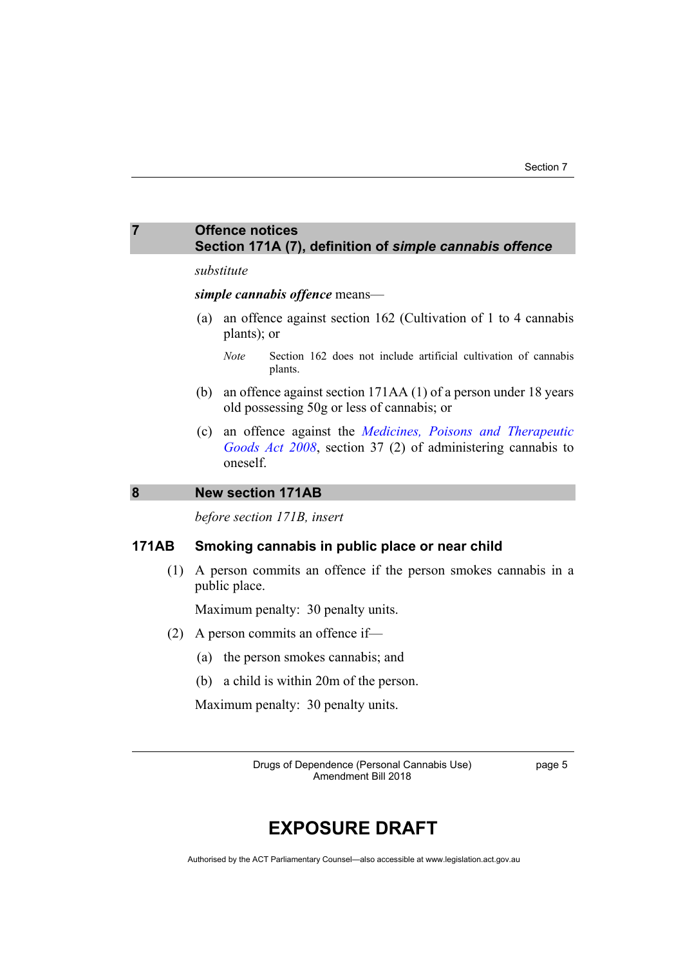#### <span id="page-6-0"></span>**7 Offence notices Section 171A (7), definition of** *simple cannabis offence*

#### *substitute*

#### *simple cannabis offence* means—

- (a) an offence against section 162 (Cultivation of 1 to 4 cannabis plants); or
	- *Note* Section 162 does not include artificial cultivation of cannabis plants.
- (b) an offence against section 171AA (1) of a person under 18 years old possessing 50g or less of cannabis; or
- (c) an offence against the *[Medicines, Poisons and Therapeutic](http://www.legislation.act.gov.au/a/2008-26)  [Goods Act 2008](http://www.legislation.act.gov.au/a/2008-26)*, section 37 (2) of administering cannabis to oneself.

#### <span id="page-6-1"></span>**8 New section 171AB**

*before section 171B, insert*

#### **171AB Smoking cannabis in public place or near child**

(1) A person commits an offence if the person smokes cannabis in a public place.

Maximum penalty: 30 penalty units.

- (2) A person commits an offence if—
	- (a) the person smokes cannabis; and
	- (b) a child is within 20m of the person.

Maximum penalty: 30 penalty units.

Drugs of Dependence (Personal Cannabis Use) Amendment Bill 2018

page 5

### **EXPOSURE DRAFT**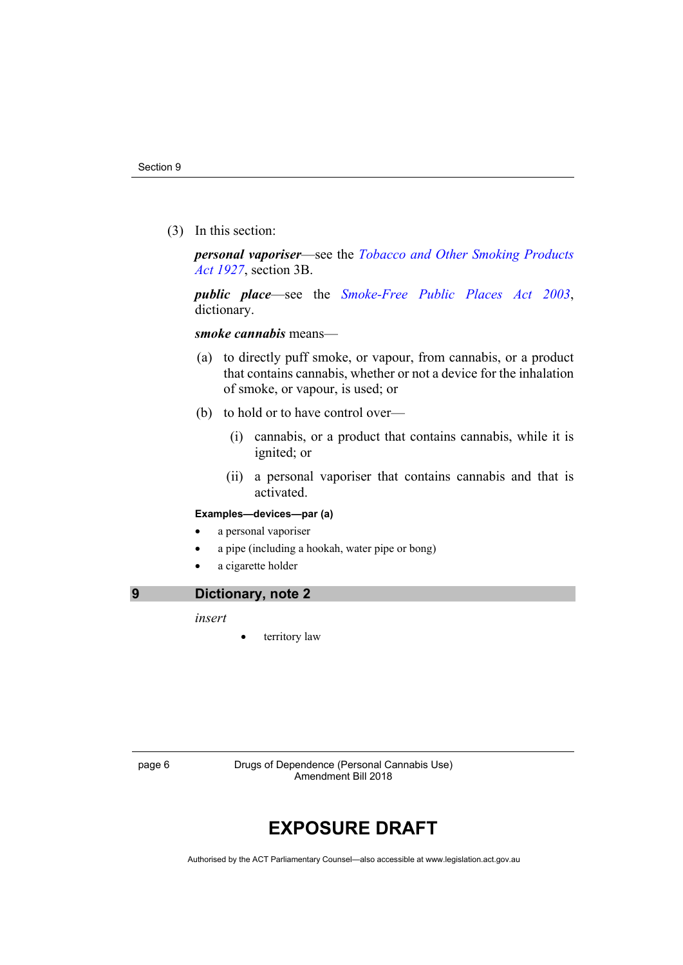(3) In this section:

*personal vaporiser*—see the *[Tobacco and Other Smoking Products](https://www.legislation.act.gov.au/a/1927-14/)  [Act 1927](https://www.legislation.act.gov.au/a/1927-14/)*, section 3B.

*public place*—see the *[Smoke-Free Public Places Act 2003](http://www.legislation.act.gov.au/a/2003-51)*, dictionary.

#### *smoke cannabis* means—

- (a) to directly puff smoke, or vapour, from cannabis, or a product that contains cannabis, whether or not a device for the inhalation of smoke, or vapour, is used; or
- (b) to hold or to have control over—
	- (i) cannabis, or a product that contains cannabis, while it is ignited; or
	- (ii) a personal vaporiser that contains cannabis and that is activated.

#### **Examples—devices—par (a)**

- a personal vaporiser
- a pipe (including a hookah, water pipe or bong)
- a cigarette holder

#### <span id="page-7-0"></span>**9 Dictionary, note 2**

*insert*

territory law

page 6 Drugs of Dependence (Personal Cannabis Use) Amendment Bill 2018

## **EXPOSURE DRAFT**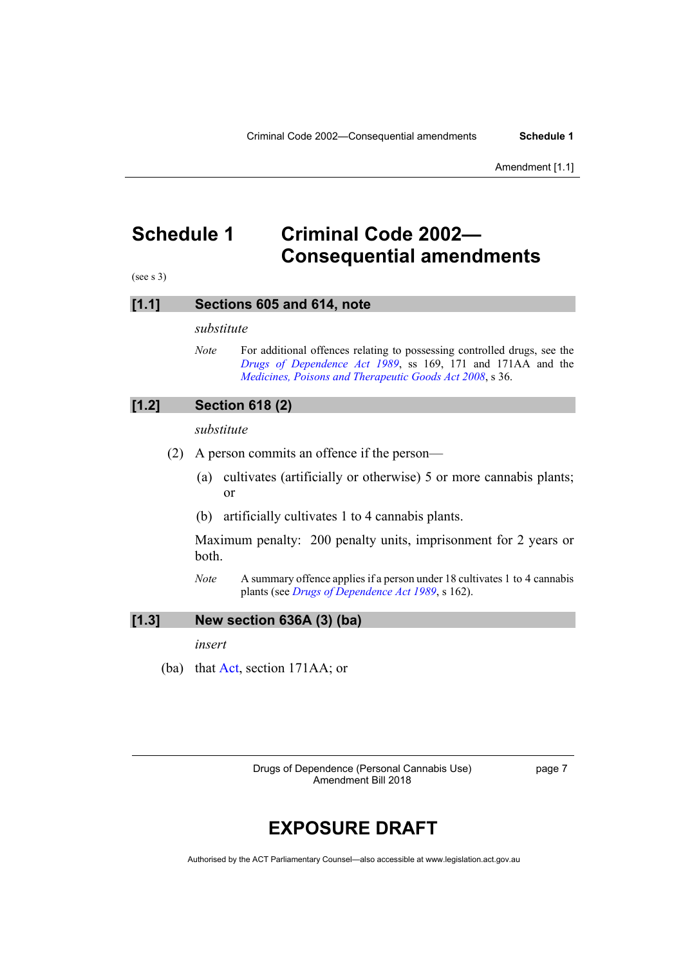## <span id="page-8-0"></span>**Schedule 1 Criminal Code 2002— Consequential amendments**

(see s 3)

#### **[1.1] Sections 605 and 614, note**

*substitute*

*Note* For additional offences relating to possessing controlled drugs, see the *[Drugs of Dependence Act 1989](http://www.legislation.act.gov.au/a/alt_a1989-11co)*, ss 169, 171 and 171AA and the *[Medicines, Poisons and Therapeutic Goods Act 2008](http://www.legislation.act.gov.au/a/2008-26)*, s 36.

#### **[1.2] Section 618 (2)**

*substitute*

- (2) A person commits an offence if the person—
	- (a) cultivates (artificially or otherwise) 5 or more cannabis plants; or
	- (b) artificially cultivates 1 to 4 cannabis plants.

Maximum penalty: 200 penalty units, imprisonment for 2 years or both.

*Note* A summary offence applies if a person under 18 cultivates 1 to 4 cannabis plants (see *[Drugs of Dependence Act 1989](http://www.legislation.act.gov.au/a/alt_a1989-11co)*, s 162).

#### **[1.3] New section 636A (3) (ba)**

*insert*

(ba) that [Act,](https://www.legislation.act.gov.au/a/alt_a1989-11co) section 171AA; or

Drugs of Dependence (Personal Cannabis Use) Amendment Bill 2018

page 7

## **EXPOSURE DRAFT**